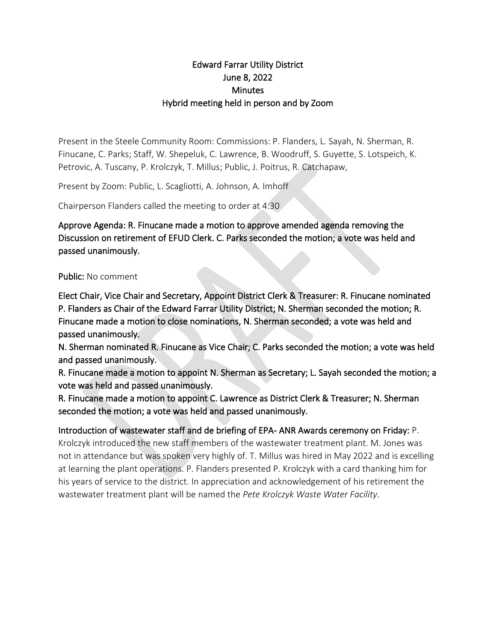## Edward Farrar Utility District June 8, 2022 **Minutes** Hybrid meeting held in person and by Zoom

Present in the Steele Community Room: Commissions: P. Flanders, L. Sayah, N. Sherman, R. Finucane, C. Parks; Staff, W. Shepeluk, C. Lawrence, B. Woodruff, S. Guyette, S. Lotspeich, K. Petrovic, A. Tuscany, P. Krolczyk, T. Millus; Public, J. Poitrus, R. Catchapaw,

Present by Zoom: Public, L. Scagliotti, A. Johnson, A. Imhoff

Chairperson Flanders called the meeting to order at 4:30

Approve Agenda: R. Finucane made a motion to approve amended agenda removing the Discussion on retirement of EFUD Clerk. C. Parks seconded the motion; a vote was held and passed unanimously.

## Public: No comment

Elect Chair, Vice Chair and Secretary, Appoint District Clerk & Treasurer: R. Finucane nominated P. Flanders as Chair of the Edward Farrar Utility District; N. Sherman seconded the motion; R. Finucane made a motion to close nominations, N. Sherman seconded; a vote was held and passed unanimously.

N. Sherman nominated R. Finucane as Vice Chair; C. Parks seconded the motion; a vote was held and passed unanimously.

R. Finucane made a motion to appoint N. Sherman as Secretary; L. Sayah seconded the motion; a vote was held and passed unanimously.

R. Finucane made a motion to appoint C. Lawrence as District Clerk & Treasurer; N. Sherman seconded the motion; a vote was held and passed unanimously.

Introduction of wastewater staff and de briefing of EPA- ANR Awards ceremony on Friday: P. Krolczyk introduced the new staff members of the wastewater treatment plant. M. Jones was not in attendance but was spoken very highly of. T. Millus was hired in May 2022 and is excelling at learning the plant operations. P. Flanders presented P. Krolczyk with a card thanking him for his years of service to the district. In appreciation and acknowledgement of his retirement the wastewater treatment plant will be named the *Pete Krolczyk Waste Water Facility*.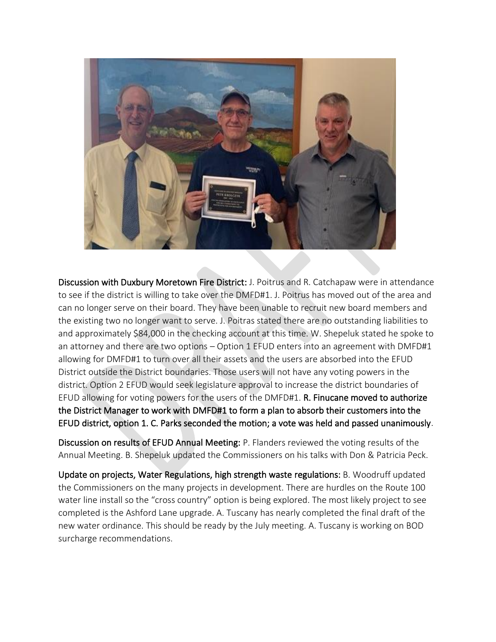

Discussion with Duxbury Moretown Fire District: J. Poitrus and R. Catchapaw were in attendance to see if the district is willing to take over the DMFD#1. J. Poitrus has moved out of the area and can no longer serve on their board. They have been unable to recruit new board members and the existing two no longer want to serve. J. Poitras stated there are no outstanding liabilities to and approximately \$84,000 in the checking account at this time. W. Shepeluk stated he spoke to an attorney and there are two options – Option 1 EFUD enters into an agreement with DMFD#1 allowing for DMFD#1 to turn over all their assets and the users are absorbed into the EFUD District outside the District boundaries. Those users will not have any voting powers in the district. Option 2 EFUD would seek legislature approval to increase the district boundaries of EFUD allowing for voting powers for the users of the DMFD#1. R. Finucane moved to authorize the District Manager to work with DMFD#1 to form a plan to absorb their customers into the EFUD district, option 1. C. Parks seconded the motion; a vote was held and passed unanimously.

Discussion on results of EFUD Annual Meeting: P. Flanders reviewed the voting results of the Annual Meeting. B. Shepeluk updated the Commissioners on his talks with Don & Patricia Peck.

Update on projects, Water Regulations, high strength waste regulations: B. Woodruff updated the Commissioners on the many projects in development. There are hurdles on the Route 100 water line install so the "cross country" option is being explored. The most likely project to see completed is the Ashford Lane upgrade. A. Tuscany has nearly completed the final draft of the new water ordinance. This should be ready by the July meeting. A. Tuscany is working on BOD surcharge recommendations.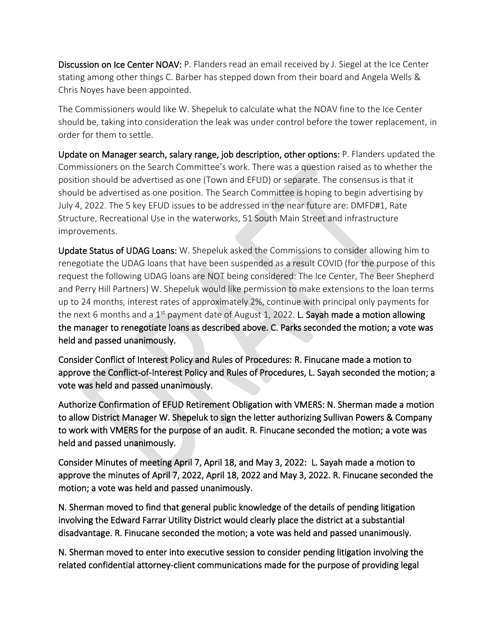Discussion on Ice Center NOAV: P. Flanders read an email received by J. Siegel at the Ice Center stating among other things C. Barber has stepped down from their board and Angela Wells & Chris Noyes have been appointed.

The Commissioners would like W. Shepeluk to calculate what the NOAV fine to the Ice Center should be, taking into consideration the leak was under control before the tower replacement, in order for them to settle.

Update on Manager search, salary range, job description, other options: P. Flanders updated the Commissioners on the Search Committee's work. There was a question raised as to whether the position should be advertised as one (Town and EFUD) or separate. The consensus is that it should be advertised as one position. The Search Committee is hoping to begin advertising by July 4, 2022. The 5 key EFUD issues to be addressed in the near future are: DMFD#1, Rate Structure, Recreational Use in the waterworks, 51 South Main Street and infrastructure improvements.

Update Status of UDAG Loans: W. Shepeluk asked the Commissions to consider allowing him to renegotiate the UDAG loans that have been suspended as a result COVID (for the purpose of this request the following UDAG loans are NOT being considered: The Ice Center, The Beer Shepherd and Perry Hill Partners) W. Shepeluk would like permission to make extensions to the loan terms up to 24 months, interest rates of approximately 2%, continue with principal only payments for the next 6 months and a 1<sup>st</sup> payment date of August 1, 2022. L. Sayah made a motion allowing the manager to renegotiate loans as described above. C. Parks seconded the motion; a vote was held and passed unanimously.

Consider Conflict of Interest Policy and Rules of Procedures: R. Finucane made a motion to approve the Conflict-of-Interest Policy and Rules of Procedures, L. Sayah seconded the motion; a vote was held and passed unanimously.

Authorize Confirmation of EFUD Retirement Obligation with VMERS: N. Sherman made a motion to allow District Manager W. Shepeluk to sign the letter authorizing Sullivan Powers & Company to work with VMERS for the purpose of an audit. R. Finucane seconded the motion; a vote was held and passed unanimously.

Consider Minutes of meeting April 7, April 18, and May 3, 2022: L. Sayah made a motion to approve the minutes of April 7, 2022, April 18, 2022 and May 3, 2022. R. Finucane seconded the motion; a vote was held and passed unanimously.

N. Sherman moved to find that general public knowledge of the details of pending litigation involving the Edward Farrar Utility District would clearly place the district at a substantial disadvantage. R. Finucane seconded the motion; a vote was held and passed unanimously.

N. Sherman moved to enter into executive session to consider pending litigation involving the related confidential attorney-client communications made for the purpose of providing legal